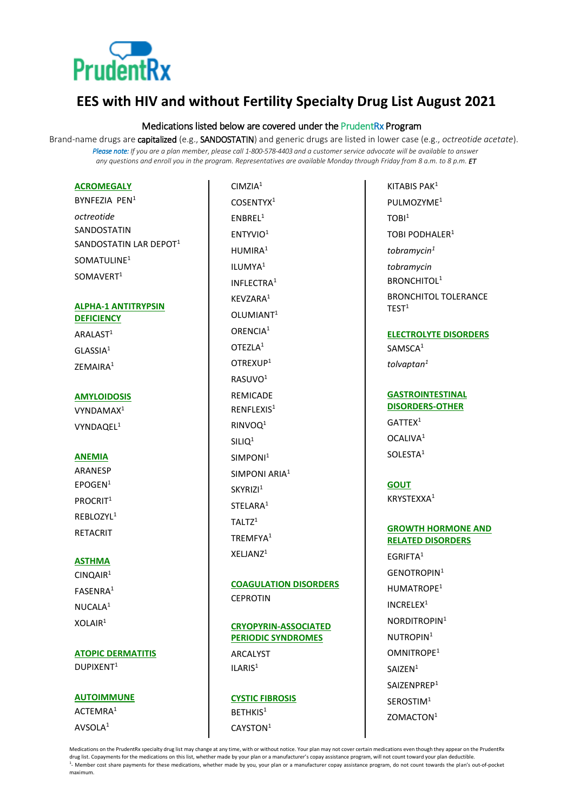

# **EES with HIV and without Fertility Specialty Drug List August 2021**

# Medications listed below are covered under the PrudentRx Program

Brand-name drugs are capitalized (e.g., SANDOSTATIN) and generic drugs are listed in lower case (e.g., *octreotide acetate*). *Please note: If you are a plan member, please call 1-800-578-4403 and a customer service advocate will be available to answer any questions and enroll you in the program. Representatives are available Monday through Friday from 8 a.m. to 8 p.m. ET*

# **ACROMEGALY**

BYNFEZIA PEN<sup>1</sup> *octreotide* SANDOSTATIN SANDOSTATIN LAR DEPOT<sup>1</sup> SOMATULINE<sup>1</sup> SOMAVERT<sup>1</sup>

# **ALPHA-1 ANTITRYPSIN DEFICIENCY**

ARALAST<sup>1</sup> GLASSIA<sup>1</sup> ZEMAIRA<sup>1</sup>

#### **AMYLOIDOSIS**

VYNDAMAX<sup>1</sup> VYNDAQEL<sup>1</sup>

#### **ANEMIA**

ARANESP  $FPOGFN<sup>1</sup>$ PROCRIT<sup>1</sup> REBLOZYL<sup>1</sup> RETACRIT

#### **ASTHMA**

CINQAIR<sup>1</sup> FASENRA<sup>1</sup> NUCALA<sup>1</sup>  $X$ OLAIR $1$ 

# **ATOPIC DERMATITIS** DUPIXENT<sup>1</sup>

**AUTOIMMUNE** ACTEMRA<sup>1</sup> AVSOLA<sup>1</sup>

 $CIMZIA<sup>1</sup>$ COSENTYX<sup>1</sup> ENBREL<sup>1</sup> ENTYVIO<sup>1</sup> HUMIRA<sup>1</sup> ILUMYA<sup>1</sup> INFLECTRA<sup>1</sup> KEVZARA<sup>1</sup> OLUMIANT<sup>1</sup> ORENCIA<sup>1</sup> OTEZI A<sup>1</sup> OTREXUP<sup>1</sup> RASUVO<sup>1</sup> REMICADE  $R$ FNFI FXIS<sup>1</sup> RINVOQ<sup>1</sup>  $SIIIO<sup>1</sup>$ SIMPONI<sup>1</sup> SIMPONI ARIA<sup>1</sup> SKYRIZI<sup>1</sup> STELARA<sup>1</sup> TAIT $7<sup>1</sup>$ TREMFYA<sup>1</sup> XELJANZ<sup>1</sup>

**COAGULATION DISORDERS CEPROTIN** 

# **CRYOPYRIN-ASSOCIATED PERIODIC SYNDROMES**

ARCALYST ILARIS<sup>1</sup>

**CYSTIC FIBROSIS** BETHKIS<sup>1</sup> CAYSTON<sup>1</sup>

KITABIS PAK<sup>1</sup> PULMOZYME<sup>1</sup>  $TORI<sup>1</sup>$ TOBI PODHALER<sup>1</sup> *tobramycin<sup>1</sup> tobramycin* BRONCHITOL<sup>1</sup> BRONCHITOL TOLERANCE  $TEST<sup>1</sup>$ 

# **ELECTROLYTE DISORDERS**

SAMSCA<sup>1</sup> *tolvaptan<sup>1</sup>*

# **GASTROINTESTINAL DISORDERS-OTHER**

 $GATTFX<sup>1</sup>$ OCALIVA<sup>1</sup> SOLESTA<sup>1</sup>

# **GOUT**

KRYSTEXXA<sup>1</sup>

# **GROWTH HORMONE AND RELATED DISORDERS**

EGRIFTA<sup>1</sup> GENOTROPIN<sup>1</sup> HUMATROPE<sup>1</sup> INCRELEX<sup>1</sup> NORDITROPIN<sup>1</sup> NUTROPIN<sup>1</sup> OMNITROPE<sup>1</sup> SAIZEN<sup>1</sup> SAIZENPREP<sup>1</sup> SEROSTIM<sup>1</sup> ZOMACTON1

Medications on the PrudentRx specialty drug list may change at any time, with or without notice. Your plan may not cover certain medications even though they appear on the PrudentRx drug list. Copayments for the medications on this list, whether made by your plan or a manufacturer's copay assistance program, will not count toward your plan deductible. <sup>1</sup>- Member cost share payments for these medications, whether made by you, your plan or a manufacturer copay assistance program, do not count towards the plan's out-of-pocket maximum.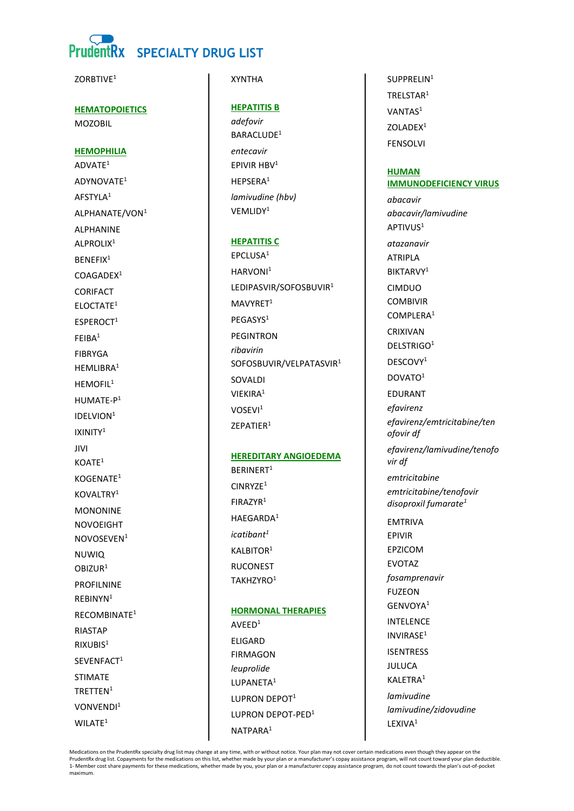# **PrudentRx SPECIALTY DRUG LIST**

**7ORBTIVF1** 

**HEMATOPOIETICS MOZOBIL** 

# **HEMOPHILIA**

ADVATE<sup>1</sup> ADYNOVATE<sup>1</sup> AFSTYLA<sup>1</sup> ALPHANATE/VON<sup>1</sup> **AI PHANINF** ALPROLIX<sup>1</sup> **BENEFIX<sup>1</sup>**  $COAGADER<sup>1</sup>$ **CORIFACT** ELOCTATE<sup>1</sup>  $ESPEROCT<sup>1</sup>$  $FFIBA<sup>1</sup>$ **FIBRYGA** HEMLIBRA<sup>1</sup> HFMOFII<sup>1</sup> HUMATE-P<sup>1</sup> IDELVION<sup>1</sup> IXINITY<sup>1</sup>  $IIVI$  $KOATE<sup>1</sup>$ KOGENATE<sup>1</sup> KOVAI TRY<sup>1</sup> **MONONINE NOVOEIGHT** NOVOSEVEN<sup>1</sup> **NUWIO**  $ORIZIIR<sup>1</sup>$ **PROFILNINE** RFBINYN<sup>1</sup> RECOMBINATE<sup>1</sup> **RIASTAP**  $RIXUBIS<sup>1</sup>$ SEVENFACT<sup>1</sup> **STIMATE** TRFTTFN<sup>1</sup> VONVENDI<sup>1</sup>  $WILATE<sup>1</sup>$ 

# **XYNTHA**

# **HEPATITIS B**

adefovir BARACLUDE<sup>1</sup> entecavir EPIVIR HBV<sup>1</sup> HFPSFRA<sup>1</sup> lamivudine (hbv) VEMLIDY<sup>1</sup>

### **HEPATITIS C**

EPCLUSA<sup>1</sup> HARVONI<sup>1</sup> LEDIPASVIR/SOFOSBUVIR<sup>1</sup> MAVYRFT<sup>1</sup> PFGASYS<sup>1</sup> **PFGINTRON** rihavirin SOFOSBUVIR/VELPATASVIR<sup>1</sup> SOVALDI VIEKIRA<sup>1</sup> VOSEVI<sup>1</sup>  $ZFPATIFR<sup>1</sup>$ 

### **HEREDITARY ANGIOEDEMA**

BERINERT<sup>1</sup> CINRYZE<sup>1</sup>  $FIRAZYR<sup>1</sup>$ HAEGARDA<sup>1</sup>  $ication<sup>1</sup>$ KALBITOR<sup>1</sup> **RUCONEST** TAKHZYRO<sup>1</sup>

**HORMONAL THERAPIES**  $AVEED<sup>1</sup>$ **ELIGARD FIRMAGON** leuprolide LUPANETA<sup>1</sup> LUPRON DEPOT<sup>1</sup> **ILIPRON DEPOT-PED1** NATPARA<sup>1</sup>

SUPPREI IN<sup>1</sup> TRFISTAR<sup>1</sup> VANTAS<sup>1</sup> ZOLADEX<sup>1</sup> **FFNSOLVI** 

#### **HUMAN IMMUNODEFICIENCY VIRUS**

abacavir abacavir/lamivudine APTIVUS<sup>1</sup> atazanavir **ATRIPLA BIKTARVY1** CIMDUO **COMBIVIR** COMPLERA<sup>1</sup> CRIXIVAN DELSTRIGO<sup>1</sup> DESCOVY<sup>1</sup> DOVATO<sup>1</sup> **EDURANT** efavirenz efavirenz/emtricitabine/ten ofovir df efavirenz/lamivudine/tenofo vir df emtricitabine emtricitabine/tenofovir disoproxil fumarate<sup>1</sup> **EMTRIVA FPIVIR FPZICOM EVOTAZ** fosamprenavir **FUZEON** GENVOYA<sup>1</sup> **INTFLENCE**  $INVIRASE<sup>1</sup>$ **ISENTRESS JULUCA** KALETRA<sup>1</sup> lamivudine

lamivudine/zidovudine

LEXIVA<sup>1</sup>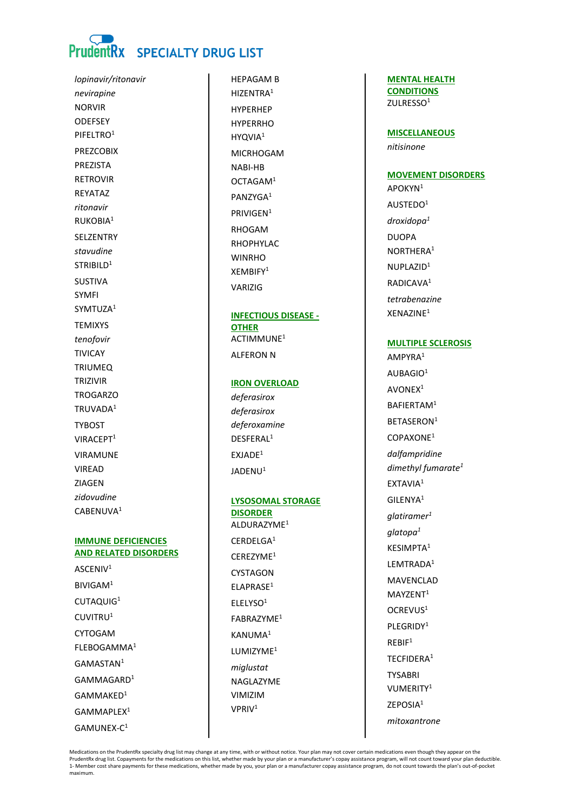# PrudentRx SPECIALTY DRUG LIST

lopinavir/ritonavir nevirapine **NORVIR** ODEFSEY PIFELTRO<sup>1</sup> **PREZCOBIX** PREZISTA **RFTROVIR REYATAZ** ritonavir RUKOBIA<sup>1</sup> SELZENTRY stavudine STRIBILD<sup>1</sup> **SUSTIVA SYMFI** SYMTUZA<sup>1</sup> **TFMIXYS** tenofovir **TIVICAY TRIUMEO TRIZIVIR TROGARZO** TRUVADA<sup>1</sup> **TYBOST** VIRACFPT<sup>1</sup> **VIRAMUNE** VIRFAD **ZIAGEN** zidovudine CABENUVA<sup>1</sup>

# **IMMUNE DEFICIENCIES AND RELATED DISORDERS**

ASCENIV<sup>1</sup> BIVIGAM<sup>1</sup> CUTAOUIG<sup>1</sup> CUVITRU<sup>1</sup> **CYTOGAM** FLEBOGAMMA<sup>1</sup> GAMASTAN<sup>1</sup> GAMMAGARD<sup>1</sup>  $GAMMAKFD<sup>1</sup>$ GAMMAPLEX<sup>1</sup>  $GAMUNFX-C<sup>1</sup>$ 

**HFPAGAM B** HIZENTRA<sup>1</sup> **HYPFRHFP HYPFRRHO** HYQVIA<sup>1</sup> **MICRHOGAM** NABI-HB OCTAGAM<sup>1</sup> PANZYGA<sup>1</sup> PRIVIGEN<sup>1</sup> RHOGAM RHOPHYLAC **WINRHO**  $XFMRIFY<sup>1</sup>$ **VARIZIG** 

**INFECTIOUS DISEASE -OTHER** ACTIMMUNE<sup>1</sup> ALFERON N

#### **IRON OVERLOAD**

deferasirox deferasirox deferoxamine DESEFRAL<sup>1</sup>  $EXJADE<sup>1</sup>$  $IADENII<sup>1</sup>$ 

# **LYSOSOMAL STORAGE DISORDER** ALDURAZYME<sup>1</sup>

 $CFRDFIGA<sup>1</sup>$ CEREZYME<sup>1</sup> CYSTAGON ELAPRASE<sup>1</sup>  $FI$  FI YSO<sup>1</sup> FABRAZYME<sup>1</sup> KANUMA<sup>1</sup> LUMIZYME<sup>1</sup> miglustat NAGLAZYME VIMIZIM VPRIV<sup>1</sup>

**MENTAL HEALTH CONDITIONS** ZULRESSO<sup>1</sup>

**MISCELLANEOUS** nitisinone

# **MOVEMENT DISORDERS**

APOKYN<sup>1</sup> AUSTEDO<sup>1</sup>  $d$ roxidopa $1$ **DUOPA** NORTHERA<sup>1</sup> NUPI A7I $D<sup>1</sup>$ RADICAVA<sup>1</sup> tetrabenazine XENAZINE<sup>1</sup>

# **MULTIPLE SCLEROSIS**

AMPYRA<sup>1</sup> AUBAGIO<sup>1</sup> AVONEX<sup>1</sup> BAFIERTAM<sup>1</sup> BFTASFRON<sup>1</sup> COPAXONE<sup>1</sup> dalfampridine dimethyl fumarate<sup>1</sup> EXTAVIA<sup>1</sup> GILENYA<sup>1</sup>  $a$ latiramer $1$  $glatopa<sup>1</sup>$ KESIMPTA<sup>1</sup> LEMTRADA<sup>1</sup> **MAVENCLAD** MAYZENT<sup>1</sup> OCREVUS<sup>1</sup> PLEGRIDY<sup>1</sup>  $RFRIF<sup>1</sup>$ TECFIDERA<sup>1</sup> **TYSABRI** VUMERITY<sup>1</sup> ZEPOSIA<sup>1</sup> mitoxantrone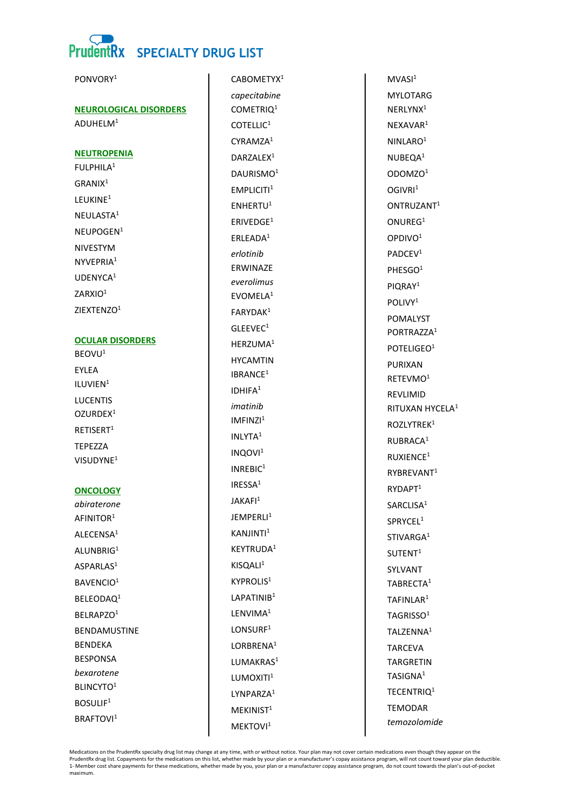PONVORY<sup>1</sup>



**NEUROLOGICAL DISORDERS** 

 $ADUHFIM<sup>1</sup>$ 

**NEUTROPENIA** 

FULPHILA<sup>1</sup> GRANIX<sup>1</sup> LEUKINE<sup>1</sup> NEULASTA<sup>1</sup>  $NFIIPOGFN<sup>1</sup>$ NIVESTYM NYVEPRIA<sup>1</sup> UDENYCA<sup>1</sup> ZARXIO<sup>1</sup> ZIEXTENZO<sup>1</sup>

# **OCULAR DISORDERS**

BEOVU<sup>1</sup> EYLEA ILUVIEN<sup>1</sup> **LUCENTIS** OZURDEX<sup>1</sup> RFTISFRT<sup>1</sup> **TEPEZZA** VISUDYNE<sup>1</sup>

# **ONCOLOGY**

abiraterone AFINITOR<sup>1</sup> ALFCENSA<sup>1</sup> ALUNBRIG<sup>1</sup> ASPARLAS<sup>1</sup> BAVENCIO<sup>1</sup> BELEODAQ<sup>1</sup> BELRAPZO<sup>1</sup> **RENDAMUSTINE BENDEKA BESPONSA** bexarotene **BLINCYTO1** BOSULIF<sup>1</sup> **BRAFTOVI**<sup>1</sup>

CABOMFTYX<sup>1</sup> capecitabine COMETRIQ<sup>1</sup>  $COTFI II C<sup>1</sup>$  $CYRAMZA<sup>1</sup>$ DAR7AI FX<sup>1</sup> DAURISMO<sup>1</sup>  $EMPLICITI<sup>1</sup>$ ENHERTU<sup>1</sup>  $ERIVE DGE<sup>1</sup>$ ERLEADA<sup>1</sup> erlotinib ERWINAZE everolimus **FVOMFIA1** FARYDAK<sup>1</sup> GLEEVEC<sup>1</sup> HERZUMA<sup>1</sup> **HYCAMTIN** IBRANCE<sup>1</sup> **IDHIFA1** imatinih  $IMFINZI<sup>1</sup>$ INLYTA<sup>1</sup>  $INOOVI<sup>1</sup>$  $INREBIC<sup>1</sup>$ IRFSS $A<sup>1</sup>$ JAKAFI<sup>1</sup> **IFMPFRI11** KANJINTI<sup>1</sup> KEYTRUDA<sup>1</sup>  $KISOAI<sup>1</sup>$ **KYPROLIS1** LAPATINIB<sup>1</sup> LENVIMA<sup>1</sup> LONSURF<sup>1</sup> LORBRENA<sup>1</sup> LUMAKRAS<sup>1</sup> LUMOXITI<sup>1</sup> I YNPAR7A<sup>1</sup>  $MEKINIST<sup>1</sup>$ MEKTOVI<sup>1</sup>

 $MVASI<sup>1</sup>$ **MYI OTARG** NERLYNX<sup>1</sup> NFXAVAR<sup>1</sup> NINI ARO $1$ NUBEQA<sup>1</sup> ODOMZO<sup>1</sup>  $OGIVRI<sup>1</sup>$ ONTRUZANT<sup>1</sup> ONUREG<sup>1</sup> OPDIVO<sup>1</sup>  $PADCFV<sup>1</sup>$ PHESGO<sup>1</sup> PIQRAY<sup>1</sup>  $POI IVY<sup>1</sup>$ **POMALYST** PORTRAZZA<sup>1</sup> POTELIGEO<sup>1</sup> PURIXAN RETEVMO<sup>1</sup> REVLIMID RITUXAN HYCELA<sup>1</sup> ROZLYTREK<sup>1</sup> RUBRACA<sup>1</sup> RUXIENCE<sup>1</sup> RYBREVANT<sup>1</sup> RYDAPT<sup>1</sup> SARCLISA<sup>1</sup> SPRYCEL<sup>1</sup> STIVARGA<sup>1</sup>  $SUTENT<sup>1</sup>$ SYLVANT TABRECTA<sup>1</sup> TAFINLAR<sup>1</sup> TAGRISSO<sup>1</sup> TAI 7FNNA<sup>1</sup> **TARCEVA TARGRETIN** TASIGNA<sup>1</sup> TECENTRIO<sup>1</sup> **TEMODAR** temozolomide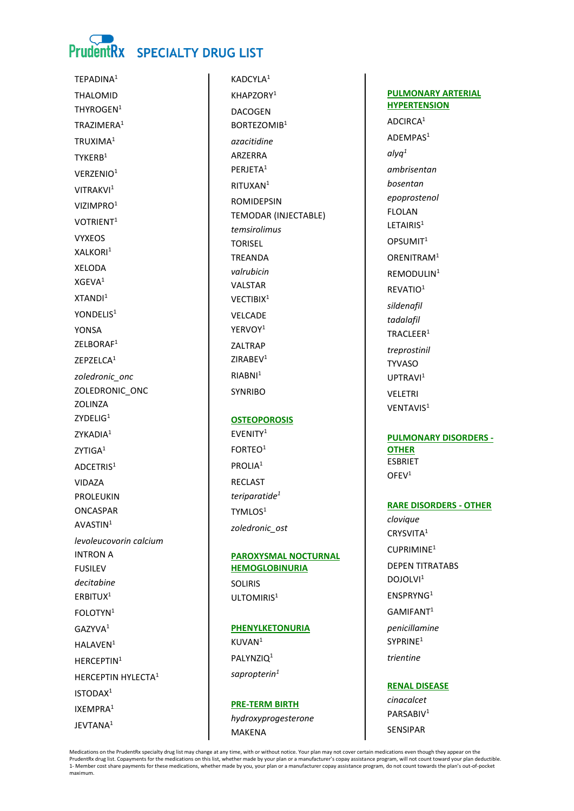

TFPADINA<sup>1</sup> **THAI OMID** THYROGEN<sup>1</sup> TRA7IMFRA<sup>1</sup> TRUXIMA<sup>1</sup> TYKFRB<sup>1</sup> VERZENIO<sup>1</sup> VITRAKVI<sup>1</sup> VIZIMPRO<sup>1</sup> VOTRIENT<sup>1</sup> **VYXEOS** XAI KORI<sup>1</sup> **XELODA**  $XGFVA<sup>1</sup>$  $XTANDI<sup>1</sup>$ YONDFLIS<sup>1</sup> **YONSA** ZELBORAF<sup>1</sup> **7FP7FICA1** zoledronic\_onc ZOLEDRONIC\_ONC **701IN7A**  $ZYDELIG<sup>1</sup>$ ZYKADIA<sup>1</sup>  $7YTIGA<sup>1</sup>$ ADCETRIS<sup>1</sup> VIDA7A **PROLEUKIN** ONCASPAR AVASTIN<sup>1</sup> levoleucovorin calcium **INTRON A FUSILEV** decitabine ERBITUX<sup>1</sup> FOLOTYN<sup>1</sup> GAZYVA<sup>1</sup> HALAVEN<sup>1</sup> HFRCFPTIN<sup>1</sup> HERCEPTIN HYLECTA<sup>1</sup>  $ISTODAY<sup>1</sup>$ IXFMPRA<sup>1</sup>  $IFVTANA<sup>1</sup>$ 

KADCYI A<sup>1</sup> KHAP7ORY<sup>1</sup> **DACOGEN BORTFZOMIR1** azacitidine **AR7FRRA** PERJETA<sup>1</sup> RITUXAN<sup>1</sup> **ROMIDEPSIN** TEMODAR (INJECTABLE) temsirolimus **TORISEL TREANDA** valruhicin **VALSTAR** VECTIBIX<sup>1</sup> **VFICADE** YERVOY<sup>1</sup> ZALTRAP  $7IRABFV<sup>1</sup>$  $RIABNI<sup>1</sup>$ 

### **OSTEOPOROSIS**

**SYNRIBO** 

EVENITY<sup>1</sup> FORTEO<sup>1</sup> PROLIA<sup>1</sup> **RECLAST** teriparatide<sup>1</sup> TYMLOS<sup>1</sup> zoledronic\_ost

# **PAROXYSMAL NOCTURNAL HEMOGLOBINURIA**

**SOLIRIS** UITOMIRIS<sup>1</sup>

#### **PHENYLKETONURIA**

KI IVAN<sup>1</sup> PALYNZIQ<sup>1</sup> sapropterin $1$ 

# **PRE-TERM BIRTH** hydroxyprogesterone **MAKENA**

**PULMONARY ARTERIAL HYPERTENSION** 

ADCIRCA<sup>1</sup> ADEMPAS<sup>1</sup>  $alyq<sup>1</sup>$ ambrisentan bosentan epoprostenol **FLOLAN** I FTAIRIS<sup>1</sup> OPSUMIT<sup>1</sup> ORENITRAM<sup>1</sup> RFMODULIN<sup>1</sup> REVATIO<sup>1</sup> sildenafil tadalafil TRACLEER<sup>1</sup> treprostinil **TYVASO** UPTRAVI<sup>1</sup> **VELETRI** VENTAVIS<sup>1</sup>

# **PULMONARY DISORDERS -OTHER ESBRIET**  $OFEV<sup>1</sup>$

#### **RARE DISORDERS - OTHER**

clovique CRYSVITA<sup>1</sup>  $CUPRIMINF<sup>1</sup>$ **DEPEN TITRATABS**  $D$  $O$  $I$  $O$  $I$  $VI$ <sup> $1$ </sup> ENSPRYNG<sup>1</sup> GAMIFANT<sup>1</sup> penicillamine SYPRINF<sup>1</sup> trientine

**RENAL DISEASE** cinacalcet PARSABIV<sup>1</sup> **SENSIPAR**